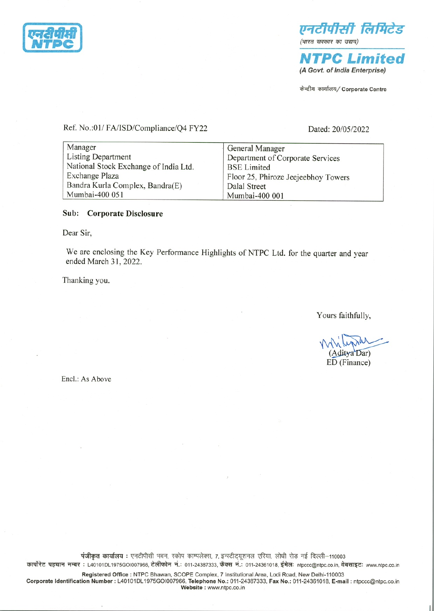



(A Govt. of India Enterprise)

केन्द्रीय कार्यालय/ Corporate Centre

Ref. No.:01/FA/ISD/Compliance/Q4 FY22

Dated: 20/05/2022

| Manager                               | General Manager                     |
|---------------------------------------|-------------------------------------|
| Listing Department                    | Department of Corporate Services    |
| National Stock Exchange of India Ltd. | <b>BSE Limited</b>                  |
| Exchange Plaza                        | Floor 25, Phiroze Jeejeebhoy Towers |
| Bandra Kurla Complex, Bandra(E)       | Dalal Street                        |
| Mumbai-400 051                        | Mumbai-400 001                      |

# Sub: Corporate Disclosure

Dear Sir,

We are enclosing the Key Performance Highlights of NTPC Ltd. for the quarter and year ended March 31, 2022.

Thanking you.

Yours faithfully,

(Aditya Dar) ED (Finance)

Encl.: As Above

पंजीकृत कार्यालय: एनटीपीसी भवन, स्कोप काम्पलेक्स, 7, इन्स्टीट्यूशनल एरिया, लोधी रोड़ नई दिल्ली-110003 कार्पोरेट पहचान नम्बर : L40101DL1975GOI007966, टेलीफोन नं.: 011-24387333, फैक्स नं.: 011-24361018, ईमेल: ntpccc@ntpc.co.in, वेबसाइट: www.ntpc.co.in

Registered Office : NTPC Bhawan, SCOPE Complex, 7 Institutional Area, Lodi Road, New Delhi-110003 Corporate Identification Number : L40101DL1975GOI007966, Telephone No.: 011-24387333, Fax No.: 011-24361018, E-mail : ntpccc@ntpc.co.in Website: www.ntpc.co.in